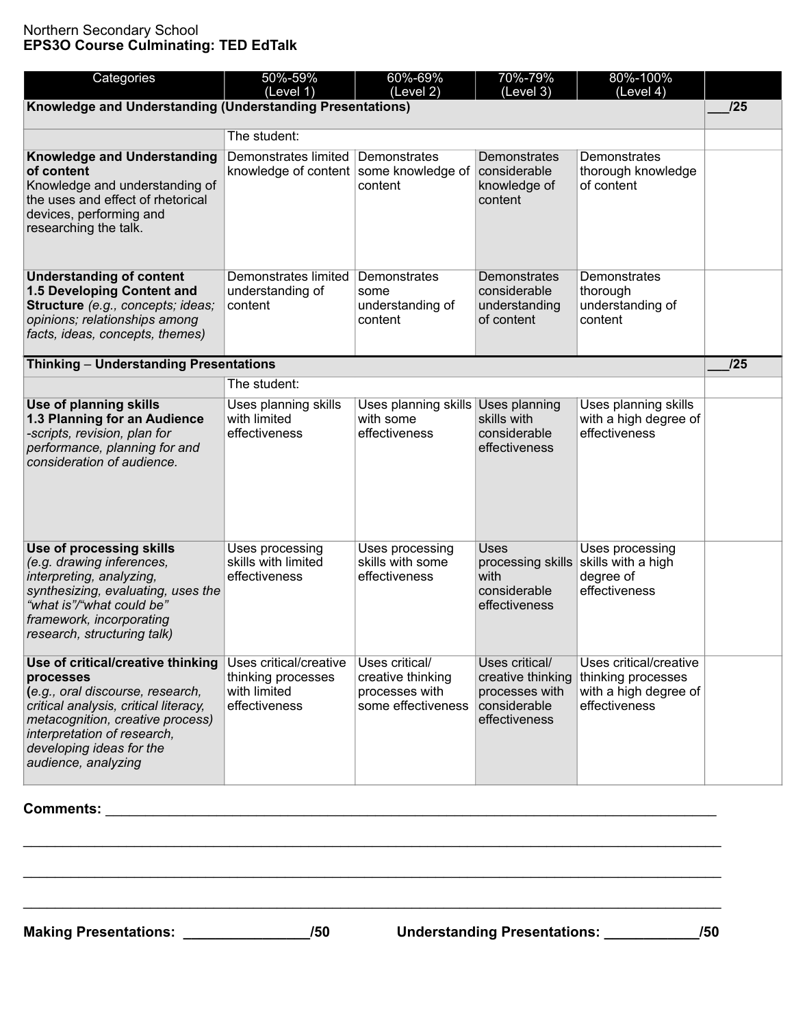## Northern Secondary School **EPS3O Course Culminating: TED EdTalk**

| Categories                                                                                                                                                                                                                                        | 50%-59%<br>(Level 1)                                                          | 60%-69%<br>(Level 2)                                                        | 70%-79%<br>(Level 3)                                                                   | 80%-100%<br>(Level 4)                                                                  |  |  |  |
|---------------------------------------------------------------------------------------------------------------------------------------------------------------------------------------------------------------------------------------------------|-------------------------------------------------------------------------------|-----------------------------------------------------------------------------|----------------------------------------------------------------------------------------|----------------------------------------------------------------------------------------|--|--|--|
| Knowledge and Understanding (Understanding Presentations)                                                                                                                                                                                         |                                                                               |                                                                             |                                                                                        |                                                                                        |  |  |  |
|                                                                                                                                                                                                                                                   | The student:                                                                  |                                                                             |                                                                                        |                                                                                        |  |  |  |
| <b>Knowledge and Understanding</b><br>of content<br>Knowledge and understanding of<br>the uses and effect of rhetorical<br>devices, performing and<br>researching the talk.                                                                       | Demonstrates limited Demonstrates<br>knowledge of content some knowledge of   | content                                                                     | Demonstrates<br>considerable<br>knowledge of<br>content                                | Demonstrates<br>thorough knowledge<br>of content                                       |  |  |  |
| <b>Understanding of content</b><br>1.5 Developing Content and<br>Structure (e.g., concepts; ideas;<br>opinions; relationships among<br>facts, ideas, concepts, themes)                                                                            | Demonstrates limited<br>understanding of<br>content                           | Demonstrates<br>some<br>understanding of<br>content                         | Demonstrates<br>considerable<br>understanding<br>of content                            | Demonstrates<br>thorough<br>understanding of<br>content                                |  |  |  |
| Thinking - Understanding Presentations                                                                                                                                                                                                            |                                                                               |                                                                             |                                                                                        |                                                                                        |  |  |  |
|                                                                                                                                                                                                                                                   | The student:                                                                  |                                                                             |                                                                                        |                                                                                        |  |  |  |
| Use of planning skills<br>1.3 Planning for an Audience<br>-scripts, revision, plan for<br>performance, planning for and<br>consideration of audience.                                                                                             | Uses planning skills<br>with limited<br>effectiveness                         | Uses planning skills Uses planning<br>with some<br>effectiveness            | skills with<br>considerable<br>effectiveness                                           | Uses planning skills<br>with a high degree of<br>effectiveness                         |  |  |  |
| <b>Use of processing skills</b><br>(e.g. drawing inferences,<br>interpreting, analyzing,<br>synthesizing, evaluating, uses the<br>"what is"/"what could be"<br>framework, incorporating<br>research, structuring talk)                            | Uses processing<br>skills with limited<br>effectiveness                       | Uses processing<br>skills with some<br>effectiveness                        | Uses<br>with<br>considerable<br>effectiveness                                          | Uses processing<br>processing skills skills with a high<br>degree of<br>effectiveness  |  |  |  |
| Use of critical/creative thinking<br>processes<br>(e.g., oral discourse, research,<br>critical analysis, critical literacy,<br>metacognition, creative process)<br>interpretation of research,<br>developing ideas for the<br>audience, analyzing | Uses critical/creative<br>thinking processes<br>with limited<br>effectiveness | Uses critical/<br>creative thinking<br>processes with<br>some effectiveness | Uses critical/<br>creative thinking<br>processes with<br>considerable<br>effectiveness | Uses critical/creative<br>thinking processes<br>with a high degree of<br>effectiveness |  |  |  |

## **Comments:** \_\_\_\_\_\_\_\_\_\_\_\_\_\_\_\_\_\_\_\_\_\_\_\_\_\_\_\_\_\_\_\_\_\_\_\_\_\_\_\_\_\_\_\_\_\_\_\_\_\_\_\_\_\_\_\_\_\_\_\_\_\_\_\_\_\_\_\_\_\_\_\_\_\_\_\_\_

\_\_\_\_\_\_\_\_\_\_\_\_\_\_\_\_\_\_\_\_\_\_\_\_\_\_\_\_\_\_\_\_\_\_\_\_\_\_\_\_\_\_\_\_\_\_\_\_\_\_\_\_\_\_\_\_\_\_\_\_\_\_\_\_\_\_\_\_\_\_\_\_\_\_\_\_\_\_\_\_\_\_\_\_\_\_\_\_

\_\_\_\_\_\_\_\_\_\_\_\_\_\_\_\_\_\_\_\_\_\_\_\_\_\_\_\_\_\_\_\_\_\_\_\_\_\_\_\_\_\_\_\_\_\_\_\_\_\_\_\_\_\_\_\_\_\_\_\_\_\_\_\_\_\_\_\_\_\_\_\_\_\_\_\_\_\_\_\_\_\_\_\_\_\_\_\_

\_\_\_\_\_\_\_\_\_\_\_\_\_\_\_\_\_\_\_\_\_\_\_\_\_\_\_\_\_\_\_\_\_\_\_\_\_\_\_\_\_\_\_\_\_\_\_\_\_\_\_\_\_\_\_\_\_\_\_\_\_\_\_\_\_\_\_\_\_\_\_\_\_\_\_\_\_\_\_\_\_\_\_\_\_\_\_\_

**Making Presentations: \_\_\_\_\_\_\_\_\_\_\_\_\_\_\_\_/50 Understanding Presentations: \_\_\_\_\_\_\_\_\_\_\_\_/50**